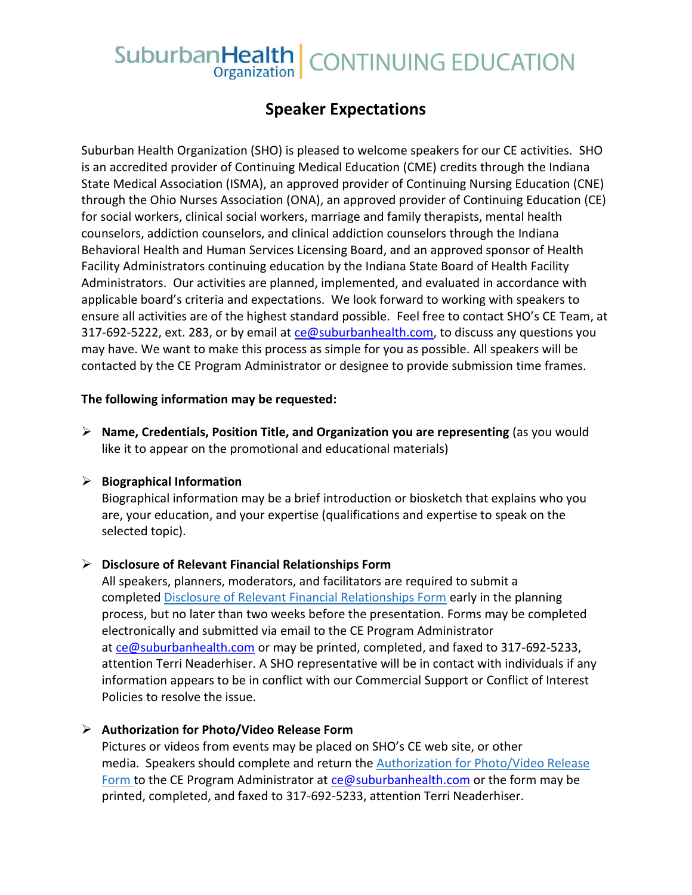# SuburbanHealth | CONTINUING EDUCATION

# **Speaker Expectations**

Suburban Health Organization (SHO) is pleased to welcome speakers for our CE activities. SHO is an accredited provider of Continuing Medical Education (CME) credits through the Indiana State Medical Association (ISMA), an approved provider of Continuing Nursing Education (CNE) through the Ohio Nurses Association (ONA), an approved provider of Continuing Education (CE) for social workers, clinical social workers, marriage and family therapists, mental health counselors, addiction counselors, and clinical addiction counselors through the Indiana Behavioral Health and Human Services Licensing Board, and an approved sponsor of Health Facility Administrators continuing education by the Indiana State Board of Health Facility Administrators. Our activities are planned, implemented, and evaluated in accordance with applicable board's criteria and expectations. We look forward to working with speakers to ensure all activities are of the highest standard possible. Feel free to contact SHO's CE Team, at 317-692-5222, ext. 283, or by email at [ce@suburbanhealth.com,](mailto:ce@suburbanhealth.com) to discuss any questions you may have. We want to make this process as simple for you as possible. All speakers will be contacted by the CE Program Administrator or designee to provide submission time frames.

#### **The following information may be requested:**

➢ **Name, Credentials, Position Title, and Organization you are representing** (as you would like it to appear on the promotional and educational materials)

#### ➢ **Biographical Information**

Biographical information may be a brief introduction or biosketch that explains who you are, your education, and your expertise (qualifications and expertise to speak on the selected topic).

#### ➢ **Disclosure of Relevant Financial Relationships Form**

All speakers, planners, moderators, and facilitators are required to submit a completed [Disclosure of Relevant Financial Relationships Form](https://www.suburbanhealth.com/wp-content/uploads/2019/10/2019-Financial-Disclosure-New-Version.pdf) early in the planning process, but no later than two weeks before the presentation. Forms may be completed electronically and submitted via email to the CE Program Administrator at [ce@suburbanhealth.com](mailto:ce@suburbanhealth.com) or may be printed, completed, and faxed to 317-692-5233, attention Terri Neaderhiser. A SHO representative will be in contact with individuals if any information appears to be in conflict with our Commercial Support or Conflict of Interest Policies to resolve the issue.

#### ➢ **Authorization for Photo/Video Release Form**

Pictures or videos from events may be placed on SHO's CE web site, or other media. Speakers should complete and return the **Authorization for Photo/Video Release** [Form](https://cme.suburbanhealth.com/wp-content/uploads/2015/10/HRKHL-838868-v1-Authorization_for_Photo_Release_Generic2.doc) to the CE Program Administrator at [ce@suburbanhealth.com](mailto:ce@suburbanhealth.com) or the form may be printed, completed, and faxed to 317-692-5233, attention Terri Neaderhiser.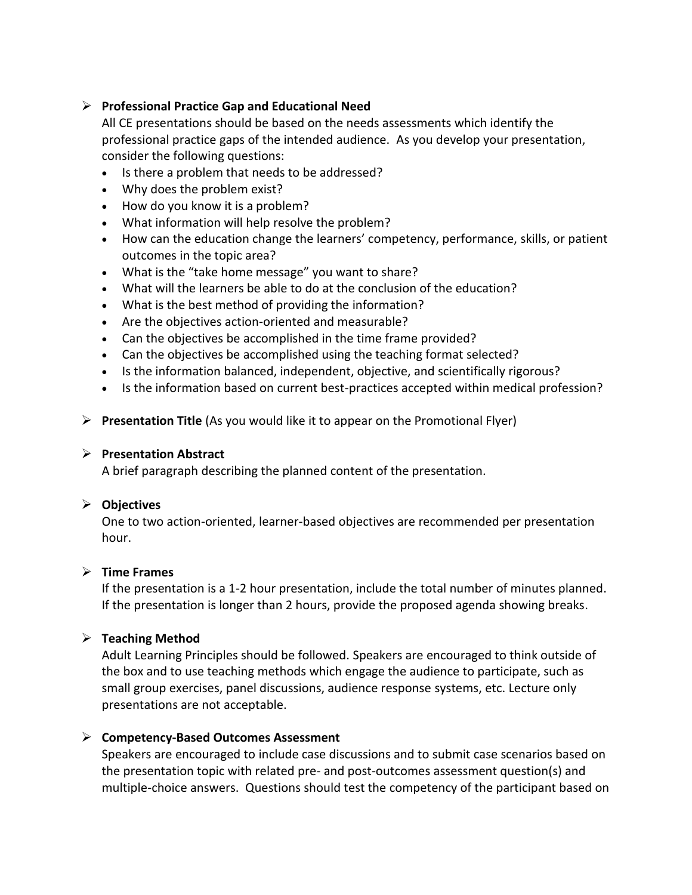#### ➢ **Professional Practice Gap and Educational Need**

All CE presentations should be based on the needs assessments which identify the professional practice gaps of the intended audience. As you develop your presentation, consider the following questions:

- Is there a problem that needs to be addressed?
- Why does the problem exist?
- How do you know it is a problem?
- What information will help resolve the problem?
- How can the education change the learners' competency, performance, skills, or patient outcomes in the topic area?
- What is the "take home message" you want to share?
- What will the learners be able to do at the conclusion of the education?
- What is the best method of providing the information?
- Are the objectives action-oriented and measurable?
- Can the objectives be accomplished in the time frame provided?
- Can the objectives be accomplished using the teaching format selected?
- Is the information balanced, independent, objective, and scientifically rigorous?
- Is the information based on current best-practices accepted within medical profession?
- ➢ **Presentation Title** (As you would like it to appear on the Promotional Flyer)

#### ➢ **Presentation Abstract**

A brief paragraph describing the planned content of the presentation.

#### ➢ **Objectives**

One to two action-oriented, learner-based objectives are recommended per presentation hour.

#### ➢ **Time Frames**

If the presentation is a 1-2 hour presentation, include the total number of minutes planned. If the presentation is longer than 2 hours, provide the proposed agenda showing breaks.

#### ➢ **Teaching Method**

Adult Learning Principles should be followed. Speakers are encouraged to think outside of the box and to use teaching methods which engage the audience to participate, such as small group exercises, panel discussions, audience response systems, etc. Lecture only presentations are not acceptable.

#### ➢ **Competency-Based Outcomes Assessment**

Speakers are encouraged to include case discussions and to submit case scenarios based on the presentation topic with related pre- and post-outcomes assessment question(s) and multiple-choice answers. Questions should test the competency of the participant based on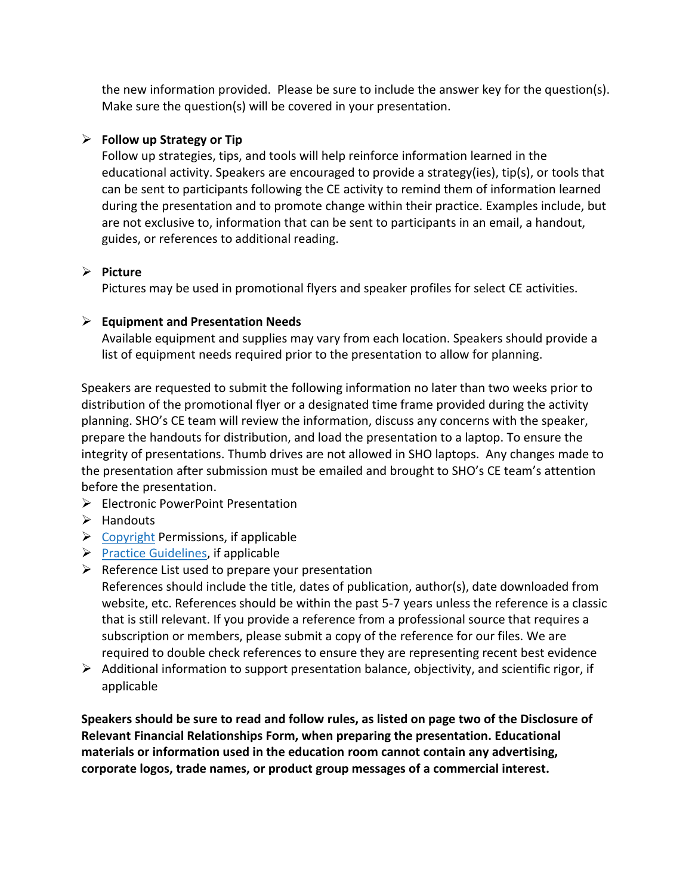the new information provided. Please be sure to include the answer key for the question(s). Make sure the question(s) will be covered in your presentation.

# ➢ **Follow up Strategy or Tip**

Follow up strategies, tips, and tools will help reinforce information learned in the educational activity. Speakers are encouraged to provide a strategy(ies), tip(s), or tools that can be sent to participants following the CE activity to remind them of information learned during the presentation and to promote change within their practice. Examples include, but are not exclusive to, information that can be sent to participants in an email, a handout, guides, or references to additional reading.

## ➢ **Picture**

Pictures may be used in promotional flyers and speaker profiles for select CE activities.

## ➢ **Equipment and Presentation Needs**

Available equipment and supplies may vary from each location. Speakers should provide a list of equipment needs required prior to the presentation to allow for planning.

Speakers are requested to submit the following information no later than two weeks prior to distribution of the promotional flyer or a designated time frame provided during the activity planning. SHO's CE team will review the information, discuss any concerns with the speaker, prepare the handouts for distribution, and load the presentation to a laptop. To ensure the integrity of presentations. Thumb drives are not allowed in SHO laptops. Any changes made to the presentation after submission must be emailed and brought to SHO's CE team's attention before the presentation.

- ➢ Electronic PowerPoint Presentation
- ➢ Handouts
- $\triangleright$  [Copyright](http://www.copyright.gov/) Permissions, if applicable
- $\triangleright$  [Practice Guidelines,](http://www.guideline.gov/) if applicable
- $\triangleright$  Reference List used to prepare your presentation
- References should include the title, dates of publication, author(s), date downloaded from website, etc. References should be within the past 5-7 years unless the reference is a classic that is still relevant. If you provide a reference from a professional source that requires a subscription or members, please submit a copy of the reference for our files. We are required to double check references to ensure they are representing recent best evidence
- $\triangleright$  Additional information to support presentation balance, objectivity, and scientific rigor, if applicable

**Speakers should be sure to read and follow rules, as listed on page two of the Disclosure of Relevant Financial Relationships Form, when preparing the presentation. Educational materials or information used in the education room cannot contain any advertising, corporate logos, trade names, or product group messages of a commercial interest.**